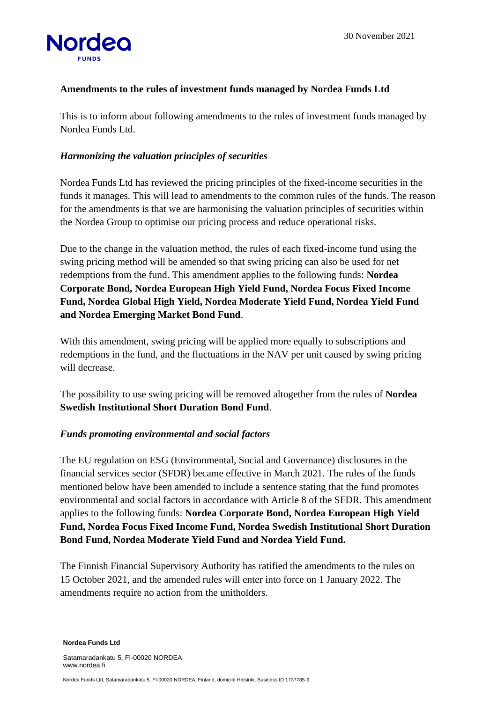

## **Amendments to the rules of investment funds managed by Nordea Funds Ltd**

This is to inform about following amendments to the rules of investment funds managed by Nordea Funds Ltd.

## *Harmonizing the valuation principles of securities*

Nordea Funds Ltd has reviewed the pricing principles of the fixed-income securities in the funds it manages. This will lead to amendments to the common rules of the funds. The reason for the amendments is that we are harmonising the valuation principles of securities within the Nordea Group to optimise our pricing process and reduce operational risks.

Due to the change in the valuation method, the rules of each fixed-income fund using the swing pricing method will be amended so that swing pricing can also be used for net redemptions from the fund. This amendment applies to the following funds: **Nordea Corporate Bond, Nordea European High Yield Fund, Nordea Focus Fixed Income Fund, Nordea Global High Yield, Nordea Moderate Yield Fund, Nordea Yield Fund and Nordea Emerging Market Bond Fund**.

With this amendment, swing pricing will be applied more equally to subscriptions and redemptions in the fund, and the fluctuations in the NAV per unit caused by swing pricing will decrease.

The possibility to use swing pricing will be removed altogether from the rules of **Nordea Swedish Institutional Short Duration Bond Fund**.

## *Funds promoting environmental and social factors*

The EU regulation on ESG (Environmental, Social and Governance) disclosures in the financial services sector (SFDR) became effective in March 2021. The rules of the funds mentioned below have been amended to include a sentence stating that the fund promotes environmental and social factors in accordance with Article 8 of the SFDR. This amendment applies to the following funds: **Nordea Corporate Bond, Nordea European High Yield Fund, Nordea Focus Fixed Income Fund, Nordea Swedish Institutional Short Duration Bond Fund, Nordea Moderate Yield Fund and Nordea Yield Fund.**

The Finnish Financial Supervisory Authority has ratified the amendments to the rules on 15 October 2021, and the amended rules will enter into force on 1 January 2022. The amendments require no action from the unitholders.

**Nordea Funds Ltd**

Satamaradankatu 5, FI-00020 NORDEA www.nordea.fi